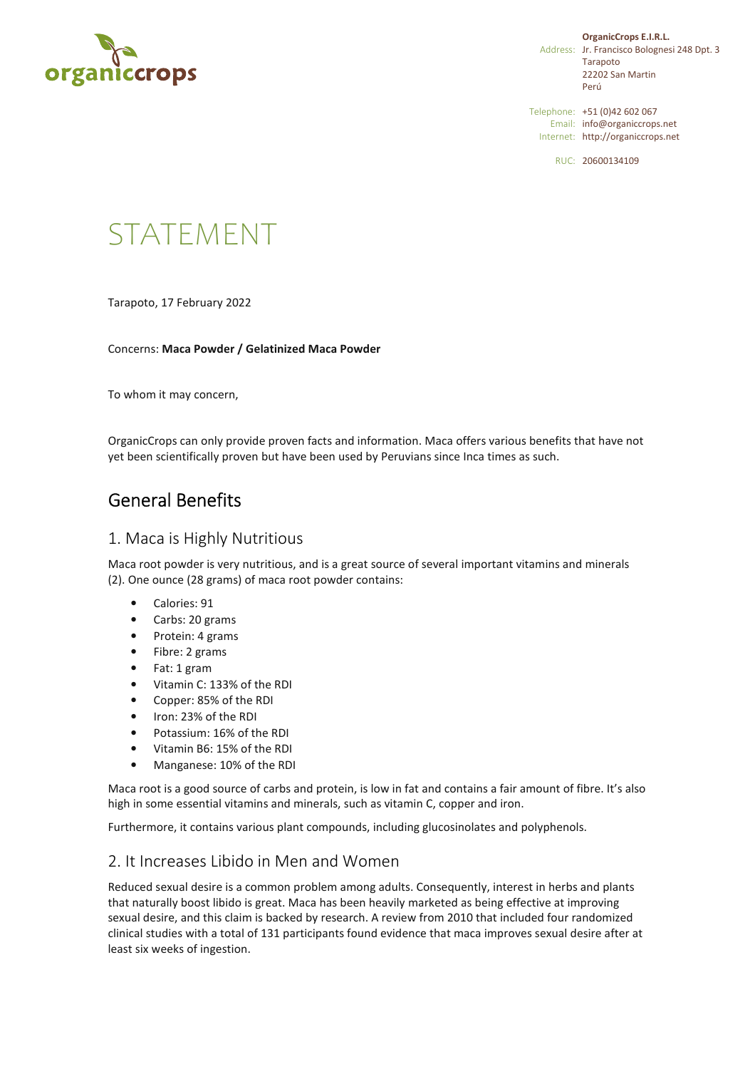

**OrganicCrops E.I.R.L.** Address: Jr. Francisco Bolognesi 248 Dpt. 3 Tarapoto 22202 San Martin Perú

Telephone: +51 (0)42 602 067 Email: info@organiccrops.net Internet: http://organiccrops.net

RUC: 20600134109

# STATEMENT

Tarapoto, 17 February 2022

Concerns: **Maca Powder / Gelatinized Maca Powder** 

To whom it may concern,

OrganicCrops can only provide proven facts and information. Maca offers various benefits that have not yet been scientifically proven but have been used by Peruvians since Inca times as such.

# General Benefits

#### 1. Maca is Highly Nutritious

Maca root powder is very nutritious, and is a great source of several important vitamins and minerals (2). One ounce (28 grams) of maca root powder contains:

- Calories: 91
- Carbs: 20 grams
- Protein: 4 grams
- Fibre: 2 grams
- Fat: 1 gram
- Vitamin C: 133% of the RDI
- Copper: 85% of the RDI
- Iron: 23% of the RDI
- Potassium: 16% of the RDI
- Vitamin B6: 15% of the RDI
- Manganese: 10% of the RDI

Maca root is a good source of carbs and protein, is low in fat and contains a fair amount of fibre. It's also high in some essential vitamins and minerals, such as vitamin C, copper and iron.

Furthermore, it contains various plant compounds, including glucosinolates and polyphenols.

### 2. It Increases Libido in Men and Women

Reduced sexual desire is a common problem among adults. Consequently, interest in herbs and plants that naturally boost libido is great. Maca has been heavily marketed as being effective at improving sexual desire, and this claim is backed by research. A review from 2010 that included four randomized clinical studies with a total of 131 participants found evidence that maca improves sexual desire after at least six weeks of ingestion.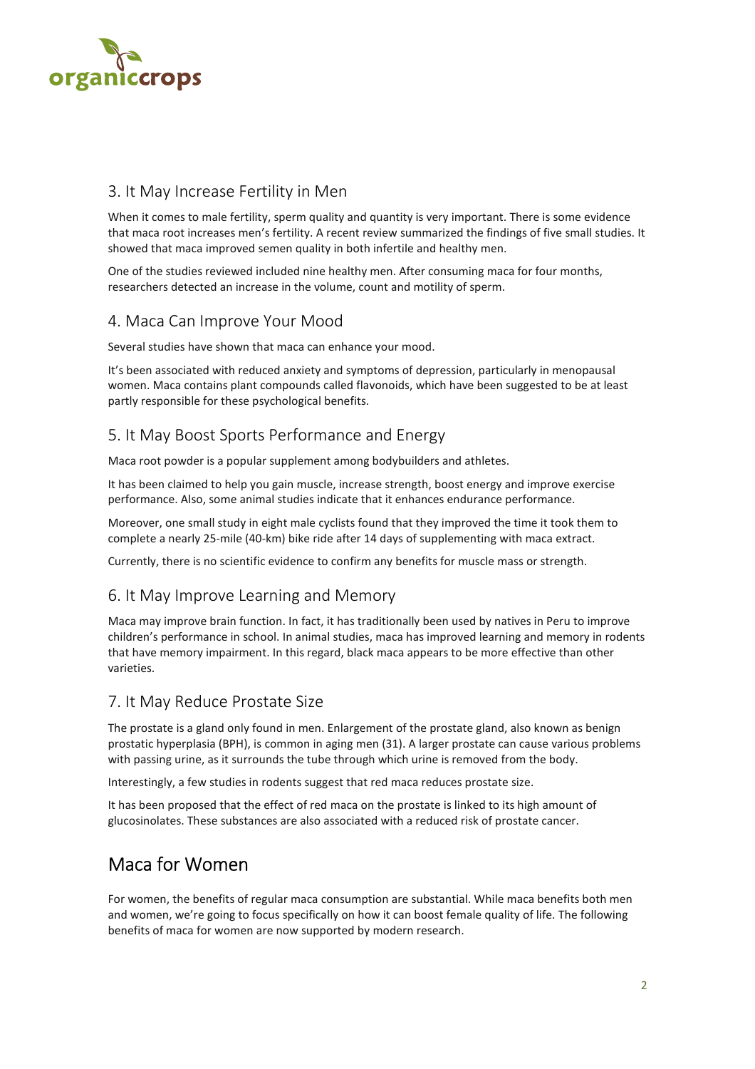

# 3. It May Increase Fertility in Men

When it comes to male fertility, sperm quality and quantity is very important. There is some evidence that maca root increases men's fertility. A recent review summarized the findings of five small studies. It showed that maca improved semen quality in both infertile and healthy men.

One of the studies reviewed included nine healthy men. After consuming maca for four months, researchers detected an increase in the volume, count and motility of sperm.

### 4. Maca Can Improve Your Mood

Several studies have shown that maca can enhance your mood.

It's been associated with reduced anxiety and symptoms of depression, particularly in menopausal women. Maca contains plant compounds called flavonoids, which have been suggested to be at least partly responsible for these psychological benefits.

# 5. It May Boost Sports Performance and Energy

Maca root powder is a popular supplement among bodybuilders and athletes.

It has been claimed to help you gain muscle, increase strength, boost energy and improve exercise performance. Also, some animal studies indicate that it enhances endurance performance.

Moreover, one small study in eight male cyclists found that they improved the time it took them to complete a nearly 25-mile (40-km) bike ride after 14 days of supplementing with maca extract.

Currently, there is no scientific evidence to confirm any benefits for muscle mass or strength.

# 6. It May Improve Learning and Memory

Maca may improve brain function. In fact, it has traditionally been used by natives in Peru to improve children's performance in school. In animal studies, maca has improved learning and memory in rodents that have memory impairment. In this regard, black maca appears to be more effective than other varieties.

### 7. It May Reduce Prostate Size

The prostate is a gland only found in men. Enlargement of the prostate gland, also known as benign prostatic hyperplasia (BPH), is common in aging men (31). A larger prostate can cause various problems with passing urine, as it surrounds the tube through which urine is removed from the body.

Interestingly, a few studies in rodents suggest that red maca reduces prostate size.

It has been proposed that the effect of red maca on the prostate is linked to its high amount of glucosinolates. These substances are also associated with a reduced risk of prostate cancer.

# Maca for Women

For women, the benefits of regular maca consumption are substantial. While maca benefits both men and women, we're going to focus specifically on how it can boost female quality of life. The following benefits of maca for women are now supported by modern research.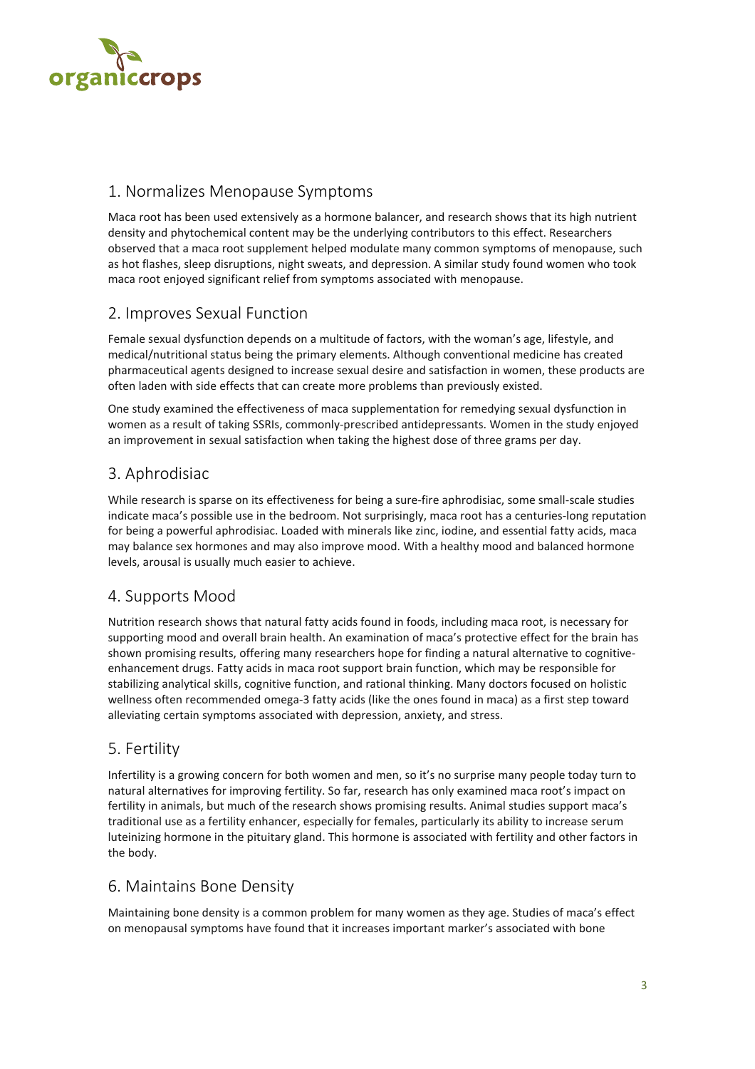

# 1. Normalizes Menopause Symptoms

Maca root has been used extensively as a hormone balancer, and research shows that its high nutrient density and phytochemical content may be the underlying contributors to this effect. Researchers observed that a maca root supplement helped modulate many common symptoms of menopause, such as hot flashes, sleep disruptions, night sweats, and depression. A similar study found women who took maca root enjoyed significant relief from symptoms associated with menopause.

### 2. Improves Sexual Function

Female sexual dysfunction depends on a multitude of factors, with the woman's age, lifestyle, and medical/nutritional status being the primary elements. Although conventional medicine has created pharmaceutical agents designed to increase sexual desire and satisfaction in women, these products are often laden with side effects that can create more problems than previously existed.

One study examined the effectiveness of maca supplementation for remedying sexual dysfunction in women as a result of taking SSRIs, commonly-prescribed antidepressants. Women in the study enjoyed an improvement in sexual satisfaction when taking the highest dose of three grams per day.

# 3. Aphrodisiac

While research is sparse on its effectiveness for being a sure-fire aphrodisiac, some small-scale studies indicate maca's possible use in the bedroom. Not surprisingly, maca root has a centuries-long reputation for being a powerful aphrodisiac. Loaded with minerals like zinc, iodine, and essential fatty acids, maca may balance sex hormones and may also improve mood. With a healthy mood and balanced hormone levels, arousal is usually much easier to achieve.

### 4. Supports Mood

Nutrition research shows that natural fatty acids found in foods, including maca root, is necessary for supporting mood and overall brain health. An examination of maca's protective effect for the brain has shown promising results, offering many researchers hope for finding a natural alternative to cognitiveenhancement drugs. Fatty acids in maca root support brain function, which may be responsible for stabilizing analytical skills, cognitive function, and rational thinking. Many doctors focused on holistic wellness often recommended omega-3 fatty acids (like the ones found in maca) as a first step toward alleviating certain symptoms associated with depression, anxiety, and stress.

# 5. Fertility

Infertility is a growing concern for both women and men, so it's no surprise many people today turn to natural alternatives for improving fertility. So far, research has only examined maca root's impact on fertility in animals, but much of the research shows promising results. Animal studies support maca's traditional use as a fertility enhancer, especially for females, particularly its ability to increase serum luteinizing hormone in the pituitary gland. This hormone is associated with fertility and other factors in the body.

# 6. Maintains Bone Density

Maintaining bone density is a common problem for many women as they age. Studies of maca's effect on menopausal symptoms have found that it increases important marker's associated with bone